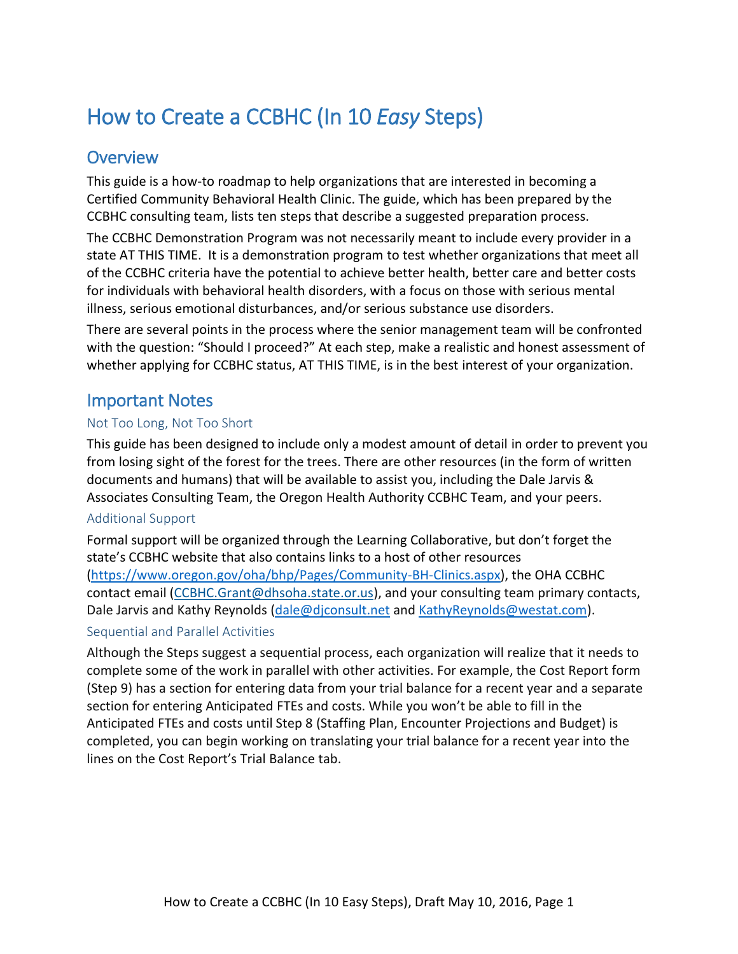# How to Create a CCBHC (In 10 *Easy* Steps)

# **Overview**

This guide is a how-to roadmap to help organizations that are interested in becoming a Certified Community Behavioral Health Clinic. The guide, which has been prepared by the CCBHC consulting team, lists ten steps that describe a suggested preparation process.

The CCBHC Demonstration Program was not necessarily meant to include every provider in a state AT THIS TIME. It is a demonstration program to test whether organizations that meet all of the CCBHC criteria have the potential to achieve better health, better care and better costs for individuals with behavioral health disorders, with a focus on those with serious mental illness, serious emotional disturbances, and/or serious substance use disorders.

There are several points in the process where the senior management team will be confronted with the question: "Should I proceed?" At each step, make a realistic and honest assessment of whether applying for CCBHC status, AT THIS TIME, is in the best interest of your organization.

# Important Notes

#### Not Too Long, Not Too Short

This guide has been designed to include only a modest amount of detail in order to prevent you from losing sight of the forest for the trees. There are other resources (in the form of written documents and humans) that will be available to assist you, including the Dale Jarvis & Associates Consulting Team, the Oregon Health Authority CCBHC Team, and your peers.

#### Additional Support

Formal support will be organized through the Learning Collaborative, but don't forget the state's CCBHC website that also contains links to a host of other resources [\(https://www.oregon.gov/oha/bhp/Pages/Community-BH-Clinics.aspx\)](https://www.oregon.gov/oha/bhp/Pages/Community-BH-Clinics.aspx), the OHA CCBHC contact email [\(CCBHC.Grant@dhsoha.state.or.us\)](mailto:CCBHC.Grant@dhsoha.state.or.us), and your consulting team primary contacts, Dale Jarvis and Kathy Reynolds [\(dale@djconsult.net](mailto:dale@djconsult.net) and [KathyReynolds@westat.com\)](mailto:KathyReynolds@westat.com).

#### Sequential and Parallel Activities

Although the Steps suggest a sequential process, each organization will realize that it needs to complete some of the work in parallel with other activities. For example, the Cost Report form (Step 9) has a section for entering data from your trial balance for a recent year and a separate section for entering Anticipated FTEs and costs. While you won't be able to fill in the Anticipated FTEs and costs until Step 8 (Staffing Plan, Encounter Projections and Budget) is completed, you can begin working on translating your trial balance for a recent year into the lines on the Cost Report's Trial Balance tab.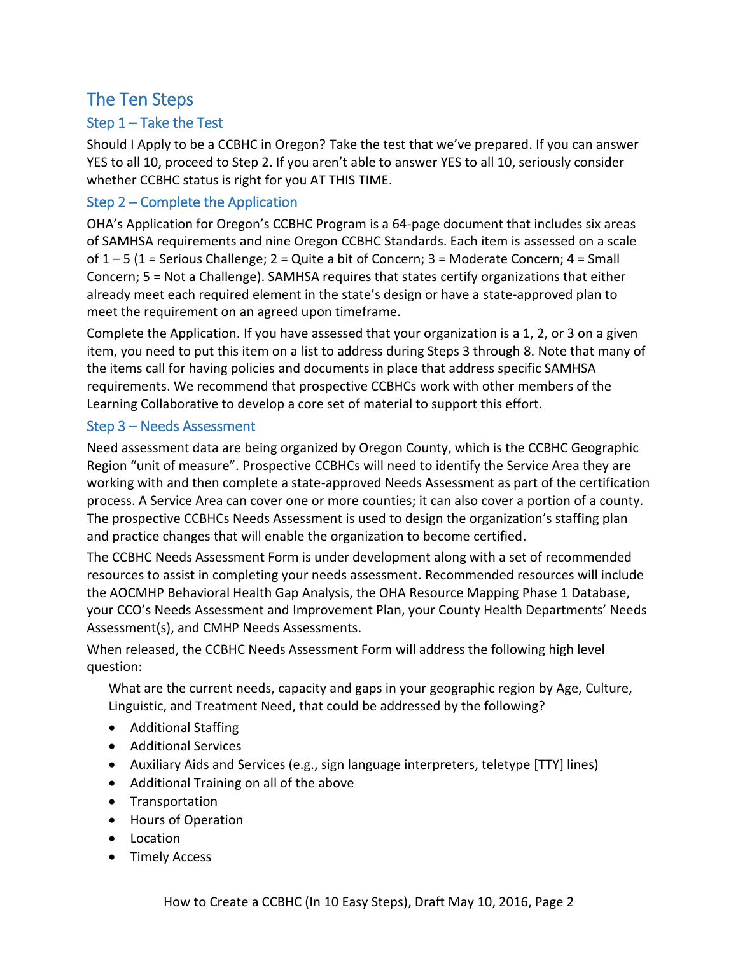# The Ten Steps

#### Step 1 – Take the Test

Should I Apply to be a CCBHC in Oregon? Take the test that we've prepared. If you can answer YES to all 10, proceed to Step 2. If you aren't able to answer YES to all 10, seriously consider whether CCBHC status is right for you AT THIS TIME.

#### Step 2 – Complete the Application

OHA's Application for Oregon's CCBHC Program is a 64-page document that includes six areas of SAMHSA requirements and nine Oregon CCBHC Standards. Each item is assessed on a scale of  $1 - 5$  (1 = Serious Challenge; 2 = Quite a bit of Concern; 3 = Moderate Concern; 4 = Small Concern; 5 = Not a Challenge). SAMHSA requires that states certify organizations that either already meet each required element in the state's design or have a state-approved plan to meet the requirement on an agreed upon timeframe.

Complete the Application. If you have assessed that your organization is a 1, 2, or 3 on a given item, you need to put this item on a list to address during Steps 3 through 8. Note that many of the items call for having policies and documents in place that address specific SAMHSA requirements. We recommend that prospective CCBHCs work with other members of the Learning Collaborative to develop a core set of material to support this effort.

#### Step 3 – Needs Assessment

Need assessment data are being organized by Oregon County, which is the CCBHC Geographic Region "unit of measure". Prospective CCBHCs will need to identify the Service Area they are working with and then complete a state-approved Needs Assessment as part of the certification process. A Service Area can cover one or more counties; it can also cover a portion of a county. The prospective CCBHCs Needs Assessment is used to design the organization's staffing plan and practice changes that will enable the organization to become certified.

The CCBHC Needs Assessment Form is under development along with a set of recommended resources to assist in completing your needs assessment. Recommended resources will include the AOCMHP Behavioral Health Gap Analysis, the OHA Resource Mapping Phase 1 Database, your CCO's Needs Assessment and Improvement Plan, your County Health Departments' Needs Assessment(s), and CMHP Needs Assessments.

When released, the CCBHC Needs Assessment Form will address the following high level question:

What are the current needs, capacity and gaps in your geographic region by Age, Culture, Linguistic, and Treatment Need, that could be addressed by the following?

- Additional Staffing
- Additional Services
- Auxiliary Aids and Services (e.g., sign language interpreters, teletype [TTY] lines)
- Additional Training on all of the above
- Transportation
- Hours of Operation
- Location
- Timely Access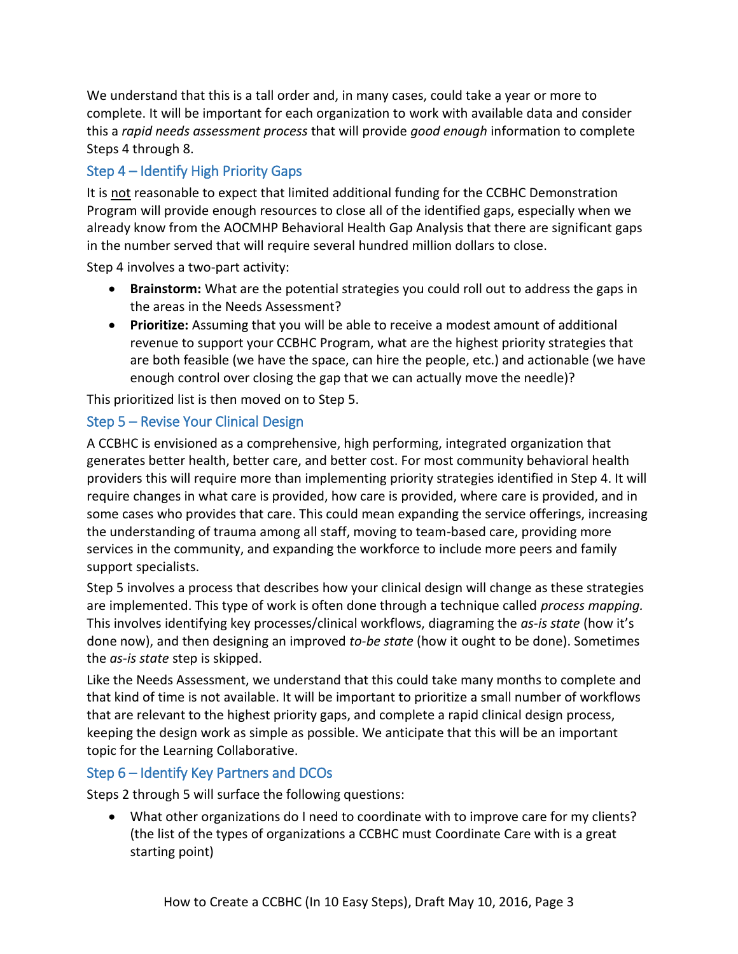We understand that this is a tall order and, in many cases, could take a year or more to complete. It will be important for each organization to work with available data and consider this a *rapid needs assessment process* that will provide *good enough* information to complete Steps 4 through 8.

# Step 4 – Identify High Priority Gaps

It is not reasonable to expect that limited additional funding for the CCBHC Demonstration Program will provide enough resources to close all of the identified gaps, especially when we already know from the AOCMHP Behavioral Health Gap Analysis that there are significant gaps in the number served that will require several hundred million dollars to close.

Step 4 involves a two-part activity:

- **Brainstorm:** What are the potential strategies you could roll out to address the gaps in the areas in the Needs Assessment?
- **Prioritize:** Assuming that you will be able to receive a modest amount of additional revenue to support your CCBHC Program, what are the highest priority strategies that are both feasible (we have the space, can hire the people, etc.) and actionable (we have enough control over closing the gap that we can actually move the needle)?

This prioritized list is then moved on to Step 5.

## Step 5 – Revise Your Clinical Design

A CCBHC is envisioned as a comprehensive, high performing, integrated organization that generates better health, better care, and better cost. For most community behavioral health providers this will require more than implementing priority strategies identified in Step 4. It will require changes in what care is provided, how care is provided, where care is provided, and in some cases who provides that care. This could mean expanding the service offerings, increasing the understanding of trauma among all staff, moving to team-based care, providing more services in the community, and expanding the workforce to include more peers and family support specialists.

Step 5 involves a process that describes how your clinical design will change as these strategies are implemented. This type of work is often done through a technique called *process mapping.*  This involves identifying key processes/clinical workflows, diagraming the *as-is state* (how it's done now), and then designing an improved *to-be state* (how it ought to be done). Sometimes the *as-is state* step is skipped.

Like the Needs Assessment, we understand that this could take many months to complete and that kind of time is not available. It will be important to prioritize a small number of workflows that are relevant to the highest priority gaps, and complete a rapid clinical design process, keeping the design work as simple as possible. We anticipate that this will be an important topic for the Learning Collaborative.

#### Step 6 – Identify Key Partners and DCOs

Steps 2 through 5 will surface the following questions:

 What other organizations do I need to coordinate with to improve care for my clients? (the list of the types of organizations a CCBHC must Coordinate Care with is a great starting point)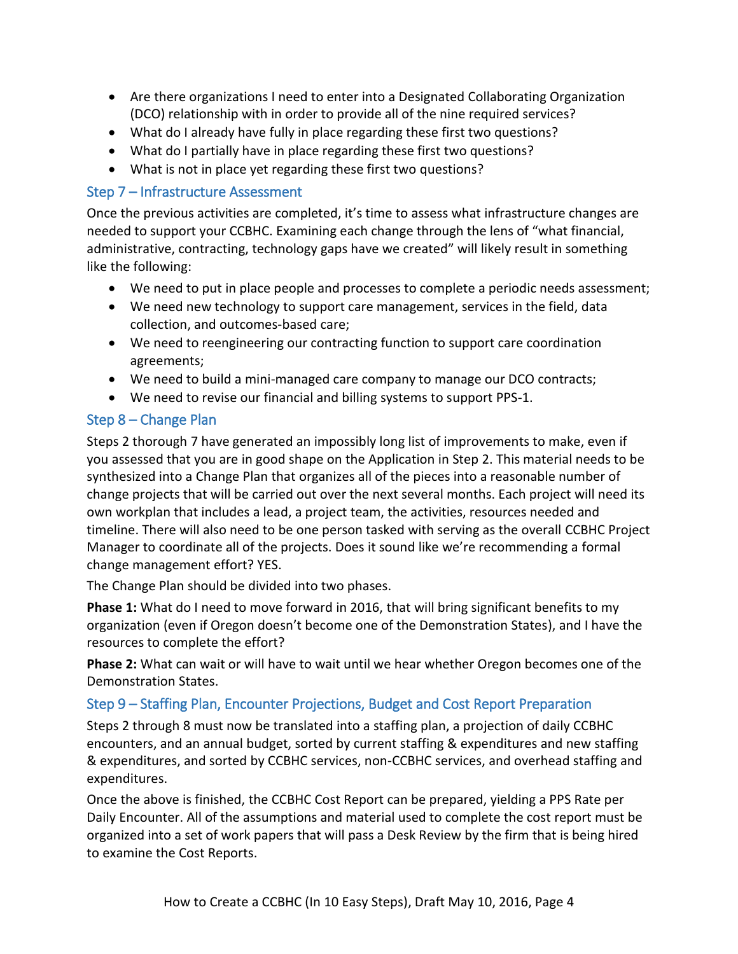- Are there organizations I need to enter into a Designated Collaborating Organization (DCO) relationship with in order to provide all of the nine required services?
- What do I already have fully in place regarding these first two questions?
- What do I partially have in place regarding these first two questions?
- What is not in place yet regarding these first two questions?

#### Step 7 – Infrastructure Assessment

Once the previous activities are completed, it's time to assess what infrastructure changes are needed to support your CCBHC. Examining each change through the lens of "what financial, administrative, contracting, technology gaps have we created" will likely result in something like the following:

- We need to put in place people and processes to complete a periodic needs assessment;
- We need new technology to support care management, services in the field, data collection, and outcomes-based care;
- We need to reengineering our contracting function to support care coordination agreements;
- We need to build a mini-managed care company to manage our DCO contracts;
- We need to revise our financial and billing systems to support PPS-1.

## Step 8 – Change Plan

Steps 2 thorough 7 have generated an impossibly long list of improvements to make, even if you assessed that you are in good shape on the Application in Step 2. This material needs to be synthesized into a Change Plan that organizes all of the pieces into a reasonable number of change projects that will be carried out over the next several months. Each project will need its own workplan that includes a lead, a project team, the activities, resources needed and timeline. There will also need to be one person tasked with serving as the overall CCBHC Project Manager to coordinate all of the projects. Does it sound like we're recommending a formal change management effort? YES.

The Change Plan should be divided into two phases.

**Phase 1:** What do I need to move forward in 2016, that will bring significant benefits to my organization (even if Oregon doesn't become one of the Demonstration States), and I have the resources to complete the effort?

**Phase 2:** What can wait or will have to wait until we hear whether Oregon becomes one of the Demonstration States.

# Step 9 – Staffing Plan, Encounter Projections, Budget and Cost Report Preparation

Steps 2 through 8 must now be translated into a staffing plan, a projection of daily CCBHC encounters, and an annual budget, sorted by current staffing & expenditures and new staffing & expenditures, and sorted by CCBHC services, non-CCBHC services, and overhead staffing and expenditures.

Once the above is finished, the CCBHC Cost Report can be prepared, yielding a PPS Rate per Daily Encounter. All of the assumptions and material used to complete the cost report must be organized into a set of work papers that will pass a Desk Review by the firm that is being hired to examine the Cost Reports.